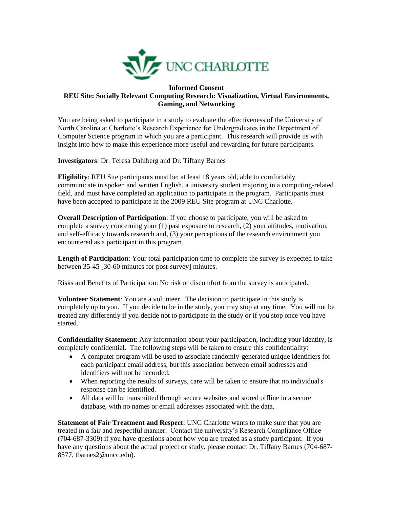

## **Informed Consent REU Site: Socially Relevant Computing Research: Visualization, Virtual Environments, Gaming, and Networking**

You are being asked to participate in a study to evaluate the effectiveness of the University of North Carolina at Charlotte's Research Experience for Undergraduates in the Department of Computer Science program in which you are a participant. This research will provide us with insight into how to make this experience more useful and rewarding for future participants.

**Investigators**: Dr. Teresa Dahlberg and Dr. Tiffany Barnes

**Eligibility**: REU Site participants must be: at least 18 years old, able to comfortably communicate in spoken and written English, a university student majoring in a computing-related field, and must have completed an application to participate in the program. Participants must have been accepted to participate in the 2009 REU Site program at UNC Charlotte.

**Overall Description of Participation**: If you choose to participate, you will be asked to complete a survey concerning your (1) past exposure to research, (2) your attitudes, motivation, and self-efficacy towards research and, (3) your perceptions of the research environment you encountered as a participant in this program.

**Length of Participation**: Your total participation time to complete the survey is expected to take between 35-45 [30-60 minutes for post-survey] minutes.

Risks and Benefits of Participation: No risk or discomfort from the survey is anticipated.

**Volunteer Statement**: You are a volunteer. The decision to participate in this study is completely up to you. If you decide to be in the study, you may stop at any time. You will not be treated any differently if you decide not to participate in the study or if you stop once you have started.

**Confidentiality Statement**: Any information about your participation, including your identity, is completely confidential. The following steps will be taken to ensure this confidentiality:

- A computer program will be used to associate randomly-generated unique identifiers for each participant email address, but this association between email addresses and identifiers will not be recorded.
- When reporting the results of surveys, care will be taken to ensure that no individual's response can be identified.
- All data will be transmitted through secure websites and stored offline in a secure database, with no names or email addresses associated with the data.

**Statement of Fair Treatment and Respect**: UNC Charlotte wants to make sure that you are treated in a fair and respectful manner. Contact the university's Research Compliance Office (704-687-3309) if you have questions about how you are treated as a study participant. If you have any questions about the actual project or study, please contact Dr. Tiffany Barnes (704-687- 8577, tbarnes2@uncc.edu).